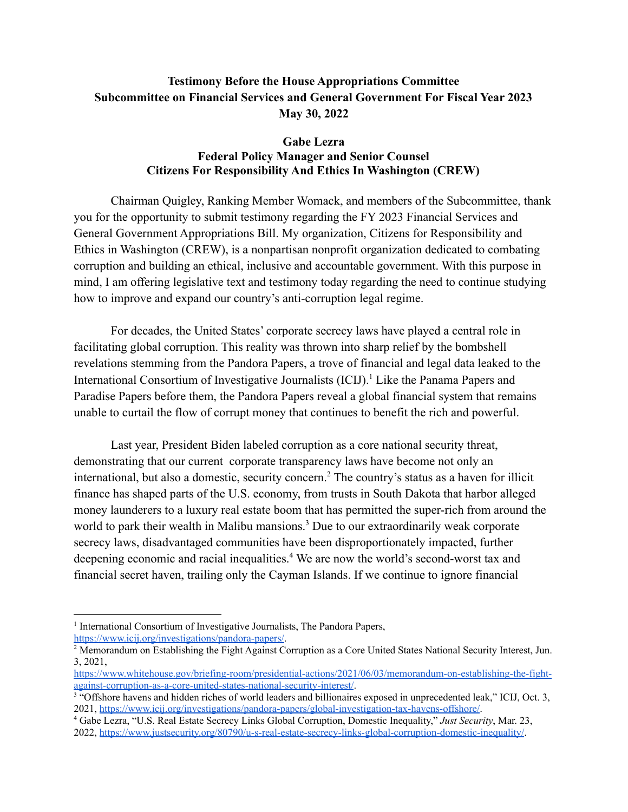## **Testimony Before the House Appropriations Committee Subcommittee on Financial Services and General Government For Fiscal Year 2023 May 30, 2022**

## **Gabe Lezra Federal Policy Manager and Senior Counsel Citizens For Responsibility And Ethics In Washington (CREW)**

Chairman Quigley, Ranking Member Womack, and members of the Subcommittee, thank you for the opportunity to submit testimony regarding the FY 2023 Financial Services and General Government Appropriations Bill. My organization, Citizens for Responsibility and Ethics in Washington (CREW), is a nonpartisan nonprofit organization dedicated to combating corruption and building an ethical, inclusive and accountable government. With this purpose in mind, I am offering legislative text and testimony today regarding the need to continue studying how to improve and expand our country's anti-corruption legal regime.

For decades, the United States' corporate secrecy laws have played a central role in facilitating global corruption. This reality was thrown into sharp relief by the bombshell revelations stemming from the Pandora Papers, a trove of financial and legal data leaked to the International Consortium of Investigative Journalists (ICIJ).<sup>1</sup> Like the Panama Papers and Paradise Papers before them, the Pandora Papers reveal a global financial system that remains unable to curtail the flow of corrupt money that continues to benefit the rich and powerful.

Last year, President Biden labeled corruption as a core national security threat, demonstrating that our current corporate transparency laws have become not only an international, but also a domestic, security concern.<sup>2</sup> The country's status as a haven for illicit finance has shaped parts of the U.S. economy, from trusts in South Dakota that harbor alleged money launderers to a luxury real estate boom that has permitted the super-rich from around the world to park their wealth in Malibu mansions.<sup>3</sup> Due to our extraordinarily weak corporate secrecy laws, disadvantaged communities have been disproportionately impacted, further deepening economic and racial inequalities.<sup>4</sup> We are now the world's second-worst tax and financial secret haven, trailing only the Cayman Islands. If we continue to ignore financial

<sup>&</sup>lt;sup>1</sup> International Consortium of Investigative Journalists, The Pandora Papers, <https://www.icij.org/investigations/pandora-papers/>.

<sup>&</sup>lt;sup>2</sup> Memorandum on Establishing the Fight Against Corruption as a Core United States National Security Interest, Jun. 3, 2021,

[https://www.whitehouse.gov/briefing-room/presidential-actions/2021/06/03/memorandum-on-establishing-the-fight](https://www.whitehouse.gov/briefing-room/presidential-actions/2021/06/03/memorandum-on-establishing-the-fight-against-corruption-as-a-core-united-states-national-security-interest/)[against-corruption-as-a-core-united-states-national-security-interest/](https://www.whitehouse.gov/briefing-room/presidential-actions/2021/06/03/memorandum-on-establishing-the-fight-against-corruption-as-a-core-united-states-national-security-interest/).

<sup>&</sup>lt;sup>3 "</sup>Offshore havens and hidden riches of world leaders and billionaires exposed in unprecedented leak," ICIJ, Oct. 3, 2021, [https://www.icij.org/investigations/pandora-papers/global-investigation-tax-havens-offshore/.](https://www.icij.org/investigations/pandora-papers/global-investigation-tax-havens-offshore/)

<sup>4</sup> Gabe Lezra, "U.S. Real Estate Secrecy Links Global Corruption, Domestic Inequality," *Just Security*, Mar. 23, 2022, <https://www.justsecurity.org/80790/u-s-real-estate-secrecy-links-global-corruption-domestic-inequality/>.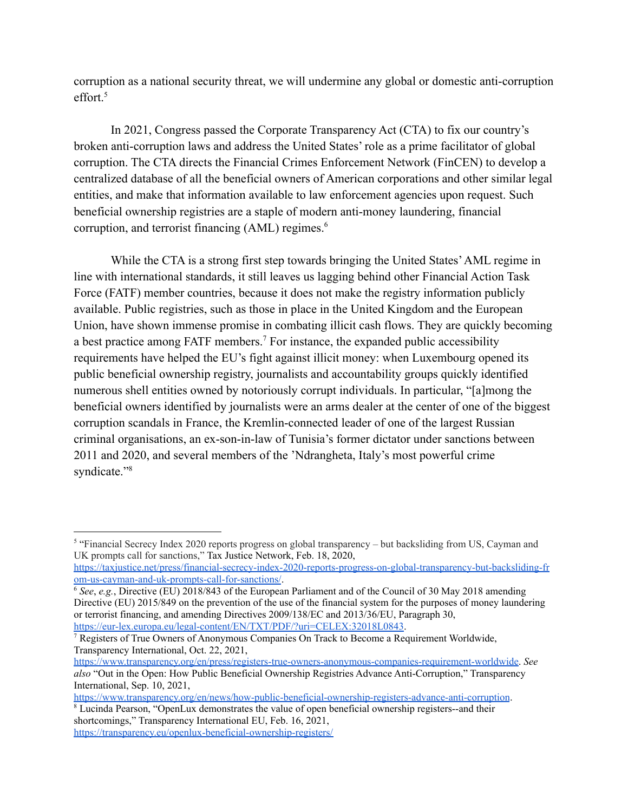corruption as a national security threat, we will undermine any global or domestic anti-corruption effort.<sup>5</sup>

In 2021, Congress passed the Corporate Transparency Act (CTA) to fix our country's broken anti-corruption laws and address the United States' role as a prime facilitator of global corruption. The CTA directs the Financial Crimes Enforcement Network (FinCEN) to develop a centralized database of all the beneficial owners of American corporations and other similar legal entities, and make that information available to law enforcement agencies upon request. Such beneficial ownership registries are a staple of modern anti-money laundering, financial corruption, and terrorist financing (AML) regimes.<sup>6</sup>

While the CTA is a strong first step towards bringing the United States'AML regime in line with international standards, it still leaves us lagging behind other Financial Action Task Force (FATF) member countries, because it does not make the registry information publicly available. Public registries, such as those in place in the United Kingdom and the European Union, have shown immense promise in combating illicit cash flows. They are quickly becoming a best practice among FATF members.<sup>7</sup> For instance, the expanded public accessibility requirements have helped the EU's fight against illicit money: when Luxembourg opened its public beneficial ownership registry, journalists and accountability groups quickly identified numerous shell entities owned by notoriously corrupt individuals. In particular, "[a]mong the beneficial owners identified by journalists were an arms dealer at the center of one of the biggest corruption scandals in France, the Kremlin-connected leader of one of the largest Russian criminal organisations, an ex-son-in-law of Tunisia's former dictator under sanctions between 2011 and 2020, and several members of the 'Ndrangheta, Italy's most powerful crime syndicate."<sup>8</sup>

shortcomings," Transparency International EU, Feb. 16, 2021, <https://transparency.eu/openlux-beneficial-ownership-registers/>

<sup>&</sup>lt;sup>5</sup> "Financial Secrecy Index 2020 reports progress on global transparency – but backsliding from US, Cayman and UK prompts call for sanctions," Tax Justice Network, Feb. 18, 2020,

[https://taxjustice.net/press/financial-secrecy-index-2020-reports-progress-on-global-transparency-but-backsliding-fr](https://taxjustice.net/press/financial-secrecy-index-2020-reports-progress-on-global-transparency-but-backsliding-from-us-cayman-and-uk-prompts-call-for-sanctions/) [om-us-cayman-and-uk-prompts-call-for-sanctions/](https://taxjustice.net/press/financial-secrecy-index-2020-reports-progress-on-global-transparency-but-backsliding-from-us-cayman-and-uk-prompts-call-for-sanctions/).

<sup>&</sup>lt;sup>6</sup> See, e.g., Directive (EU) 2018/843 of the European Parliament and of the Council of 30 May 2018 amending Directive (EU) 2015/849 on the prevention of the use of the financial system for the purposes of money laundering or terrorist financing, and amending Directives 2009/138/EC and 2013/36/EU, Paragraph 30, [https://eur-lex.europa.eu/legal-content/EN/TXT/PDF/?uri=CELEX:32018L0843.](https://eur-lex.europa.eu/legal-content/EN/TXT/PDF/?uri=CELEX:32018L0843)

<sup>&</sup>lt;sup>7</sup> Registers of True Owners of Anonymous Companies On Track to Become a Requirement Worldwide, Transparency International, Oct. 22, 2021,

[https://www.transparency.org/en/press/registers-true-owners-anonymous-companies-requirement-worldwide.](https://www.transparency.org/en/press/registers-true-owners-anonymous-companies-requirement-worldwide) *See also* "Out in the Open: How Public Beneficial Ownership Registries Advance Anti-Corruption," Transparency International, Sep. 10, 2021,

<sup>8</sup> Lucinda Pearson, "OpenLux demonstrates the value of open beneficial ownership registers--and their <https://www.transparency.org/en/news/how-public-beneficial-ownership-registers-advance-anti-corruption>.